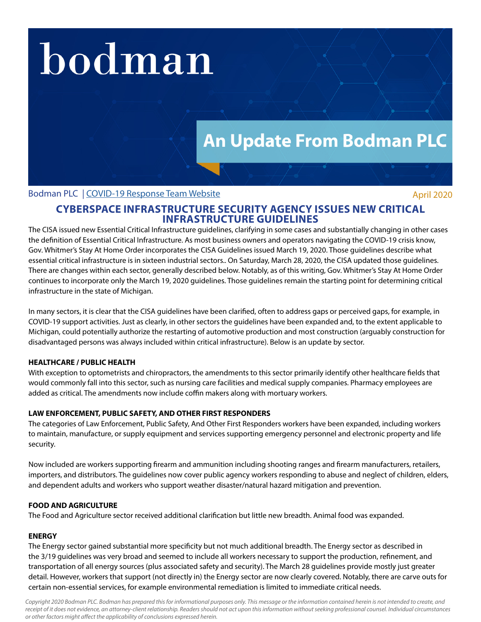# bodman

## **An Update From Bodman PLC**

#### Bodman PLC | [COVID-19 Response Team Website](http://www.bodmanlaw.com/practices/covid-19-response-team) April 2020

### **CYBERSPACE INFRASTRUCTURE SECURITY AGENCY ISSUES NEW CRITICAL INFRASTRUCTURE GUIDELINES**

The CISA issued new Essential Critical Infrastructure guidelines, clarifying in some cases and substantially changing in other cases the definition of Essential Critical Infrastructure. As most business owners and operators navigating the COVID-19 crisis know, Gov. Whitmer's Stay At Home Order incorporates the CISA Guidelines issued March 19, 2020. Those guidelines describe what essential critical infrastructure is in sixteen industrial sectors.. On Saturday, March 28, 2020, the CISA updated those guidelines. There are changes within each sector, generally described below. Notably, as of this writing, Gov. Whitmer's Stay At Home Order continues to incorporate only the March 19, 2020 guidelines. Those guidelines remain the starting point for determining critical infrastructure in the state of Michigan.

In many sectors, it is clear that the CISA guidelines have been clarified, often to address gaps or perceived gaps, for example, in COVID-19 support activities. Just as clearly, in other sectors the guidelines have been expanded and, to the extent applicable to Michigan, could potentially authorize the restarting of automotive production and most construction (arguably construction for disadvantaged persons was always included within critical infrastructure). Below is an update by sector.

#### **HEALTHCARE / PUBLIC HEALTH**

With exception to optometrists and chiropractors, the amendments to this sector primarily identify other healthcare fields that would commonly fall into this sector, such as nursing care facilities and medical supply companies. Pharmacy employees are added as critical. The amendments now include coffin makers along with mortuary workers.

#### **LAW ENFORCEMENT, PUBLIC SAFETY, AND OTHER FIRST RESPONDERS**

The categories of Law Enforcement, Public Safety, And Other First Responders workers have been expanded, including workers to maintain, manufacture, or supply equipment and services supporting emergency personnel and electronic property and life security.

Now included are workers supporting firearm and ammunition including shooting ranges and firearm manufacturers, retailers, importers, and distributors. The guidelines now cover public agency workers responding to abuse and neglect of children, elders, and dependent adults and workers who support weather disaster/natural hazard mitigation and prevention.

#### **FOOD AND AGRICULTURE**

The Food and Agriculture sector received additional clarification but little new breadth. Animal food was expanded.

#### **ENERGY**

The Energy sector gained substantial more specificity but not much additional breadth. The Energy sector as described in the 3/19 guidelines was very broad and seemed to include all workers necessary to support the production, refinement, and transportation of all energy sources (plus associated safety and security). The March 28 guidelines provide mostly just greater detail. However, workers that support (not directly in) the Energy sector are now clearly covered. Notably, there are carve outs for certain non-essential services, for example environmental remediation is limited to immediate critical needs.

*Copyright 2020 Bodman PLC. Bodman has prepared this for informational purposes only. This message or the information contained herein is not intended to create, and*  receipt of it does not evidence, an attorney-client relationship. Readers should not act upon this information without seeking professional counsel. Individual circumstances *or other factors might affect the applicability of conclusions expressed herein.*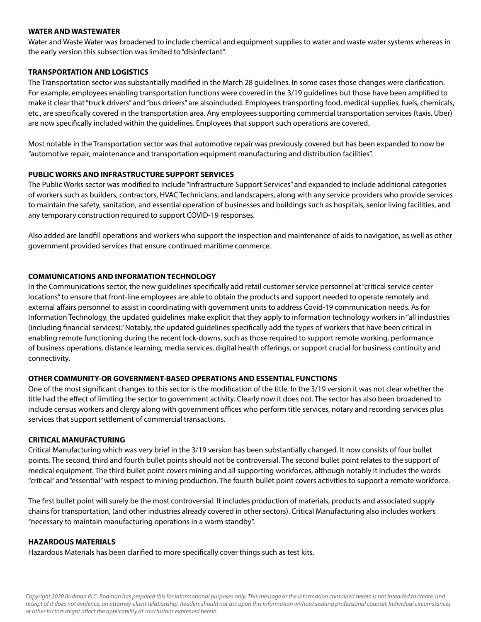#### **WATER AND WASTEWATER**

Water and Waste Water was broadened to include chemical and equipment supplies to water and waste water systems whereas in the early version this subsection was limited to "disinfectant".

#### **TRANSPORTATION AND LOGISTICS**

The Transportation sector was substantially modified in the March 28 guidelines. In some cases those changes were clarification. For example, employees enabling transportation functions were covered in the 3/19 guidelines but those have been amplified to make it clear that "truck drivers" and "bus drivers" are alsoincluded. Employees transporting food, medical supplies, fuels, chemicals, etc., are specifically covered in the transportation area. Any employees supporting commercial transportation services (taxis, Uber) are now specifically included within the guidelines. Employees that support such operations are covered.

Most notable in the Transportation sector was that automotive repair was previously covered but has been expanded to now be "automotive repair, maintenance and transportation equipment manufacturing and distribution facilities".

#### **PUBLIC WORKS AND INFRASTRUCTURE SUPPORT SERVICES**

The Public Works sector was modified to include "Infrastructure Support Services" and expanded to include additional categories of workers such as builders, contractors, HVAC Technicians, and landscapers, along with any service providers who provide services to maintain the safety, sanitation, and essential operation of businesses and buildings such as hospitals, senior living facilities, and any temporary construction required to support COVID-19 responses.

Also added are landfill operations and workers who support the inspection and maintenance of aids to navigation, as well as other government provided services that ensure continued maritime commerce.

#### **COMMUNICATIONS AND INFORMATION TECHNOLOGY**

In the Communications sector, the new guidelines specifically add retail customer service personnel at "critical service center locations" to ensure that front-line employees are able to obtain the products and support needed to operate remotely and external affairs personnel to assist in coordinating with government units to address Covid-19 communication needs. As for Information Technology, the updated guidelines make explicit that they apply to information technology workers in "all industries (including financial services)." Notably, the updated guidelines specifically add the types of workers that have been critical in enabling remote functioning during the recent lock-downs, such as those required to support remote working, performance of business operations, distance learning, media services, digital health offerings, or support crucial for business continuity and connectivity.

#### **OTHER COMMUNITY-OR GOVERNMENT-BASED OPERATIONS AND ESSENTIAL FUNCTIONS**

One of the most significant changes to this sector is the modification of the title. In the 3/19 version it was not clear whether the title had the effect of limiting the sector to government activity. Clearly now it does not. The sector has also been broadened to include census workers and clergy along with government offices who perform title services, notary and recording services plus services that support settlement of commercial transactions.

#### **CRITICAL MANUFACTURING**

Critical Manufacturing which was very brief in the 3/19 version has been substantially changed. It now consists of four bullet points. The second, third and fourth bullet points should not be controversial. The second bullet point relates to the support of medical equipment. The third bullet point covers mining and all supporting workforces, although notably it includes the words "critical" and "essential" with respect to mining production. The fourth bullet point covers activities to support a remote workforce.

The first bullet point will surely be the most controversial. It includes production of materials, products and associated supply chains for transportation, (and other industries already covered in other sectors). Critical Manufacturing also includes workers "necessary to maintain manufacturing operations in a warm standby".

#### **HAZARDOUS MATERIALS**

Hazardous Materials has been clarified to more specifically cover things such as test kits.

*Copyright 2020 Bodman PLC. Bodman has prepared this for informational purposes only. This message or the information contained herein is not intended to create, and*  receipt of it does not evidence, an attorney-client relationship. Readers should not act upon this information without seeking professional counsel. Individual circumstances *or other factors might affect the applicability of conclusions expressed herein.*